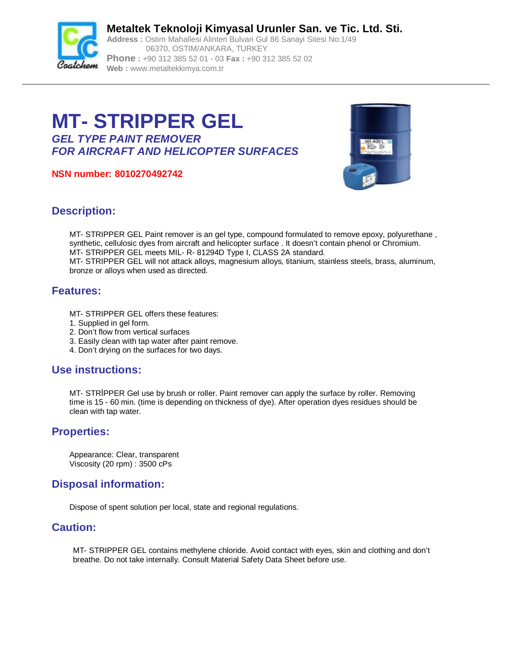

**Metaltek Teknoloji Kimyasal Urunler San. ve Tic. Ltd. Sti. Address :** Ostim Mahallesi Alinteri Bulvari Gul 86 Sanayi Sitesi No:1/49 06370, OSTIM/ANKARA, TURKEY **Phone :** +90 312 385 52 01 - 03 **Fax :** +90 312 385 52 02

**Web :** [www.metaltekkimya.com.tr](http://www.metaltekkimya.com.tr)

# **MT- STRIPPER GEL**

*GEL TYPE PAINT REMOVER FOR AIRCRAFT AND HELICOPTER SURFACES*

**NSN number: 8010270492742**



### **Description:**

MT- STRIPPER GEL Paint remover is an gel type, compound formulated to remove epoxy, polyurethane , synthetic, cellulosic dyes from aircraft and helicopter surface . It doesn't contain phenol or Chromium. MT- STRIPPER GEL meets MIL- R- 81294D Type I, CLASS 2A standard. MT- STRIPPER GEL will not attack alloys, magnesium alloys, titanium, stainless steels, brass, aluminum, bronze or alloys when used as directed.

### **Features:**

- MT- STRIPPER GEL offers these features:
- 1. Supplied in gel form.
- 2. Don't flow from vertical surfaces
- 3. Easily clean with tap water after paint remove.
- 4. Don't drying on the surfaces for two days.

## **Use instructions:**

MT- STRİPPER Gel use by brush or roller. Paint remover can apply the surface by roller. Removing time is 15 - 60 min. (time is depending on thickness of dye). After operation dyes residues should be clean with tap water.

## **Properties:**

Appearance: Clear, transparent Viscosity (20 rpm) : 3500 cPs

## **Disposal information:**

Dispose of spent solution per local, state and regional regulations.

### **Caution:**

MT- STRIPPER GEL contains methylene chloride. Avoid contact with eyes, skin and clothing and don't breathe. Do not take internally. Consult Material Safety Data Sheet before use.